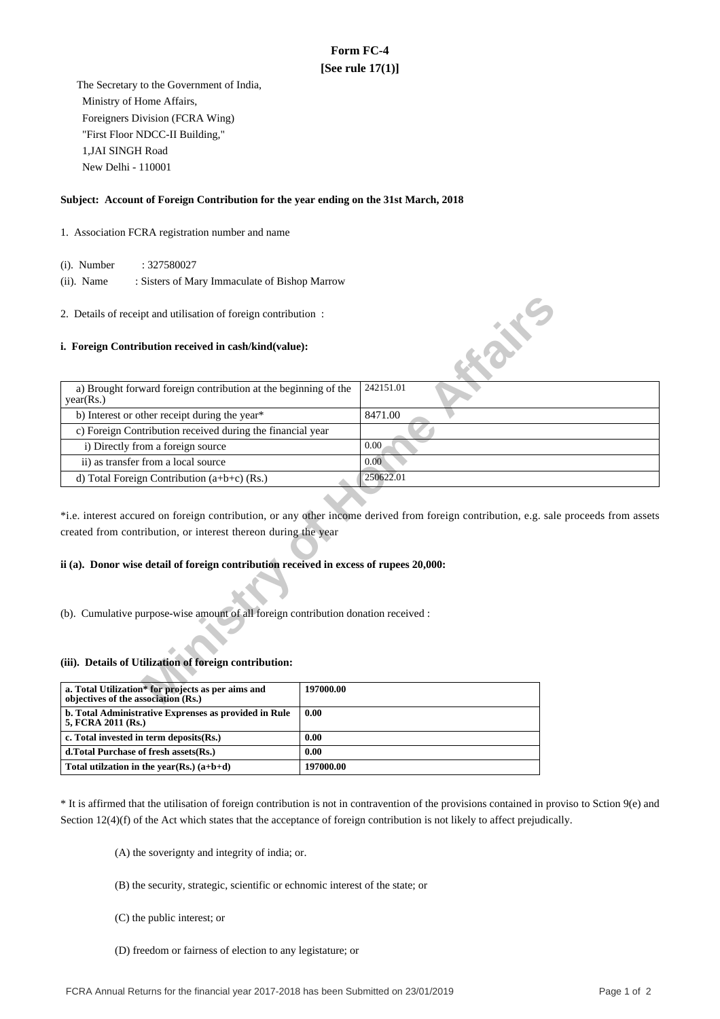# **Form FC-4 [See rule 17(1)]**

 The Secretary to the Government of India, Ministry of Home Affairs, Foreigners Division (FCRA Wing) "First Floor NDCC-II Building," 1,JAI SINGH Road New Delhi - 110001

## **Subject: Account of Foreign Contribution for the year ending on the 31st March, 2018**

## 1. Association FCRA registration number and name

(i). Number : 327580027

 (ii). Name : Sisters of Mary Immaculate of Bishop Marrow

### **i. Foreign Contribution received in cash/kind(value):**

| 2. Details of receipt and utilisation of foreign contribution:                            |                                                                                                                                       |  |  |  |  |
|-------------------------------------------------------------------------------------------|---------------------------------------------------------------------------------------------------------------------------------------|--|--|--|--|
| i. Foreign Contribution received in cash/kind(value):                                     | <b>SILLER</b>                                                                                                                         |  |  |  |  |
| a) Brought forward foreign contribution at the beginning of the<br>year(Rs.)              | 242151.01                                                                                                                             |  |  |  |  |
| b) Interest or other receipt during the year*                                             | 8471.00                                                                                                                               |  |  |  |  |
| c) Foreign Contribution received during the financial year                                |                                                                                                                                       |  |  |  |  |
| i) Directly from a foreign source                                                         | 0.00                                                                                                                                  |  |  |  |  |
| ii) as transfer from a local source                                                       | 0.00                                                                                                                                  |  |  |  |  |
| d) Total Foreign Contribution $(a+b+c)$ (Rs.)                                             | 250622.01                                                                                                                             |  |  |  |  |
| created from contribution, or interest thereon during the year                            | *i.e. interest accured on foreign contribution, or any other income derived from foreign contribution, e.g. sale proceeds from assets |  |  |  |  |
| ii (a). Donor wise detail of foreign contribution received in excess of rupees 20,000:    |                                                                                                                                       |  |  |  |  |
| (b). Cumulative purpose-wise amount of all foreign contribution donation received :       |                                                                                                                                       |  |  |  |  |
| (iii). Details of Utilization of foreign contribution:                                    |                                                                                                                                       |  |  |  |  |
| a. Total Utilization* for projects as per aims and<br>objectives of the association (Rs.) | 197000.00                                                                                                                             |  |  |  |  |

# **ii (a). Donor wise detail of foreign contribution received in excess of rupees 20,000:**

#### **(iii). Details of Utilization of foreign contribution:**

| a. Total Utilization* for projects as per aims and<br>objectives of the association (Rs.) | 197000.00 |
|-------------------------------------------------------------------------------------------|-----------|
| b. Total Administrative Exprenses as provided in Rule<br>5, FCRA 2011 (Rs.)               | 0.00      |
| c. Total invested in term deposits (Rs.)                                                  | 0.00      |
| d. Total Purchase of fresh assets (Rs.)                                                   | 0.00      |
| Total utilization in the year(Rs.) $(a+b+d)$                                              | 197000.00 |

\* It is affirmed that the utilisation of foreign contribution is not in contravention of the provisions contained in proviso to Sction 9(e) and Section 12(4)(f) of the Act which states that the acceptance of foreign contribution is not likely to affect prejudically.

(A) the soverignty and integrity of india; or.

- (B) the security, strategic, scientific or echnomic interest of the state; or
- (C) the public interest; or
- (D) freedom or fairness of election to any legistature; or